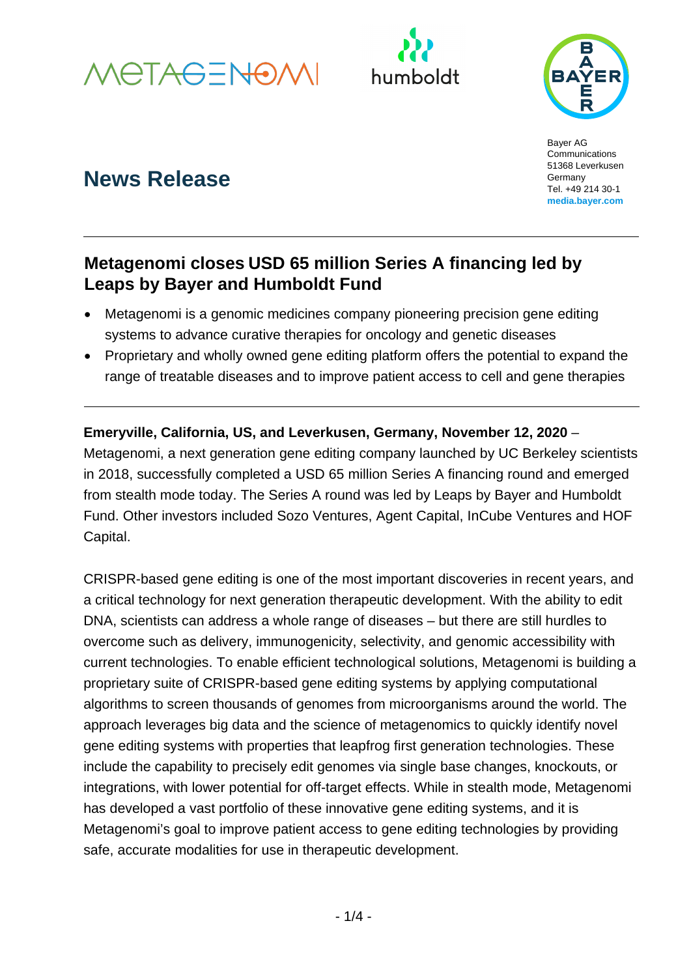





# **News Release**

Bayer AG **Communications** 51368 Leverkusen Germany Tel. +49 214 30-1 **[media.bayer.com](http://media.bayer.de/)**

## **Metagenomi closes USD 65 million Series A financing led by Leaps by Bayer and Humboldt Fund**

- Metagenomi is a genomic medicines company pioneering precision gene editing systems to advance curative therapies for oncology and genetic diseases
- Proprietary and wholly owned gene editing platform offers the potential to expand the range of treatable diseases and to improve patient access to cell and gene therapies

**Emeryville, California, US, and Leverkusen, Germany, November 12, 2020** – Metagenomi, a next generation gene editing company launched by UC Berkeley scientists in 2018, successfully completed a USD 65 million Series A financing round and emerged from stealth mode today. The Series A round was led by Leaps by Bayer and Humboldt Fund. Other investors included Sozo Ventures, Agent Capital, InCube Ventures and HOF Capital.

CRISPR-based gene editing is one of the most important discoveries in recent years, and a critical technology for next generation therapeutic development. With the ability to edit DNA, scientists can address a whole range of diseases – but there are still hurdles to overcome such as delivery, immunogenicity, selectivity, and genomic accessibility with current technologies. To enable efficient technological solutions, Metagenomi is building a proprietary suite of CRISPR-based gene editing systems by applying computational algorithms to screen thousands of genomes from microorganisms around the world. The approach leverages big data and the science of metagenomics to quickly identify novel gene editing systems with properties that leapfrog first generation technologies. These include the capability to precisely edit genomes via single base changes, knockouts, or integrations, with lower potential for off-target effects. While in stealth mode, Metagenomi has developed a vast portfolio of these innovative gene editing systems, and it is Metagenomi's goal to improve patient access to gene editing technologies by providing safe, accurate modalities for use in therapeutic development.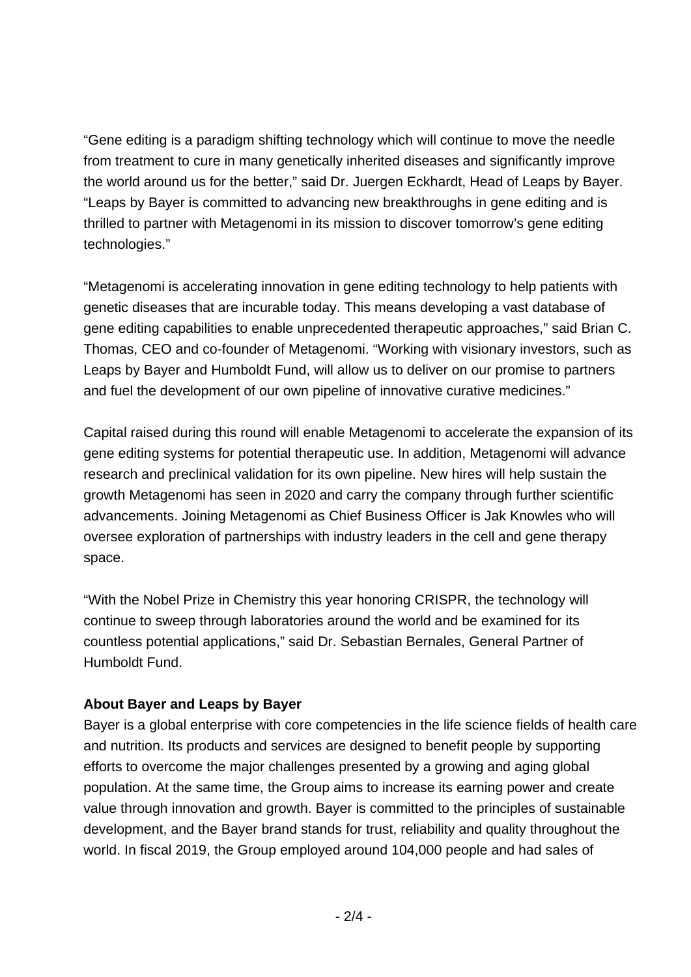"Gene editing is a paradigm shifting technology which will continue to move the needle from treatment to cure in many genetically inherited diseases and significantly improve the world around us for the better," said Dr. Juergen Eckhardt, Head of Leaps by Bayer. "Leaps by Bayer is committed to advancing new breakthroughs in gene editing and is thrilled to partner with Metagenomi in its mission to discover tomorrow's gene editing technologies."

"Metagenomi is accelerating innovation in gene editing technology to help patients with genetic diseases that are incurable today. This means developing a vast database of gene editing capabilities to enable unprecedented therapeutic approaches," said Brian C. Thomas, CEO and co-founder of Metagenomi. "Working with visionary investors, such as Leaps by Bayer and Humboldt Fund, will allow us to deliver on our promise to partners and fuel the development of our own pipeline of innovative curative medicines."

Capital raised during this round will enable Metagenomi to accelerate the expansion of its gene editing systems for potential therapeutic use. In addition, Metagenomi will advance research and preclinical validation for its own pipeline. New hires will help sustain the growth Metagenomi has seen in 2020 and carry the company through further scientific advancements. Joining Metagenomi as Chief Business Officer is Jak Knowles who will oversee exploration of partnerships with industry leaders in the cell and gene therapy space.

"With the Nobel Prize in Chemistry this year honoring CRISPR, the technology will continue to sweep through laboratories around the world and be examined for its countless potential applications," said Dr. Sebastian Bernales, General Partner of Humboldt Fund.

### **About Bayer and Leaps by Bayer**

Bayer is a global enterprise with core competencies in the life science fields of health care and nutrition. Its products and services are designed to benefit people by supporting efforts to overcome the major challenges presented by a growing and aging global population. At the same time, the Group aims to increase its earning power and create value through innovation and growth. Bayer is committed to the principles of sustainable development, and the Bayer brand stands for trust, reliability and quality throughout the world. In fiscal 2019, the Group employed around 104,000 people and had sales of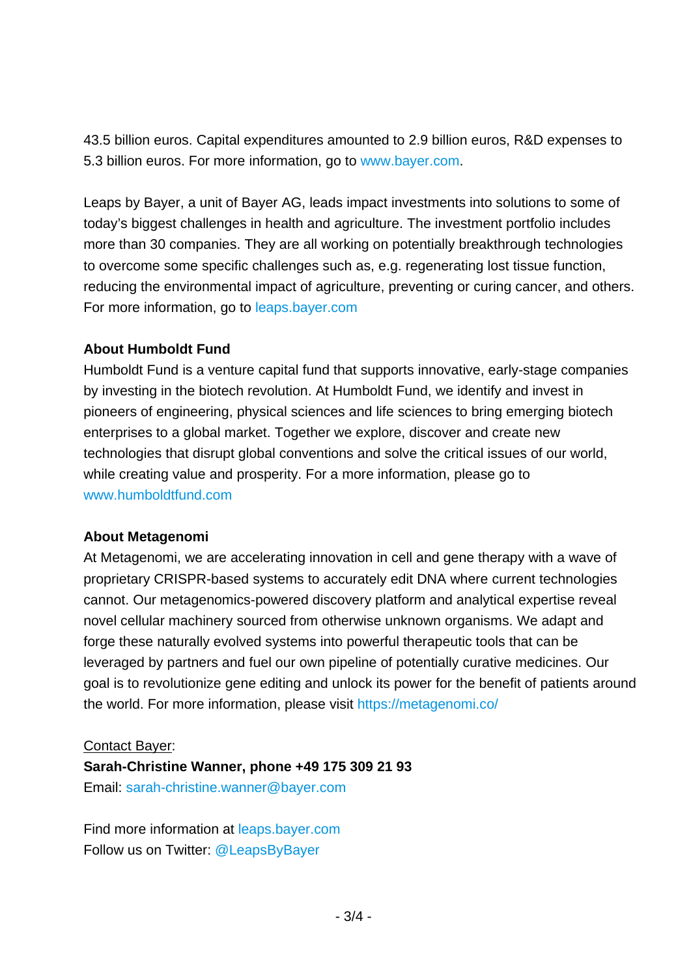43.5 billion euros. Capital expenditures amounted to 2.9 billion euros, R&D expenses to 5.3 billion euros. For more information, go to [www.bayer.com.](http://www.bayer.com/)

Leaps by Bayer, a unit of Bayer AG, leads impact investments into solutions to some of today's biggest challenges in health and agriculture. The investment portfolio includes more than 30 companies. They are all working on potentially breakthrough technologies to overcome some specific challenges such as, e.g. regenerating lost tissue function, reducing the environmental impact of agriculture, preventing or curing cancer, and others. For more information, go to [leaps.bayer.com](https://leaps.bayer.com/)

#### **About Humboldt Fund**

Humboldt Fund is a venture capital fund that supports innovative, early-stage companies by investing in the biotech revolution. At Humboldt Fund, we identify and invest in pioneers of engineering, physical sciences and life sciences to bring emerging biotech enterprises to a global market. Together we explore, discover and create new technologies that disrupt global conventions and solve the critical issues of our world, while creating value and prosperity. For a more information, please go to [www.humboldtfund.com](http://www.humboldtfund.com/)

#### **About Metagenomi**

At Metagenomi, we are accelerating innovation in cell and gene therapy with a wave of proprietary CRISPR-based systems to accurately edit DNA where current technologies cannot. Our metagenomics-powered discovery platform and analytical expertise reveal novel cellular machinery sourced from otherwise unknown organisms. We adapt and forge these naturally evolved systems into powerful therapeutic tools that can be leveraged by partners and fuel our own pipeline of potentially curative medicines. Our goal is to revolutionize gene editing and unlock its power for the benefit of patients around the world. For more information, please visit<https://metagenomi.co/>

#### Contact Bayer:

**Sarah-Christine Wanner, phone +49 175 309 21 93**

Email: [sarah-christine.wanner@bayer.com](mailto:sarah-christine.wanner@bayer.com)

Find more information at [leaps.bayer.com](https://leaps.bayer.com/) Follow us on Twitter: [@LeapsByBayer](https://twitter.com/leapsbybayer)